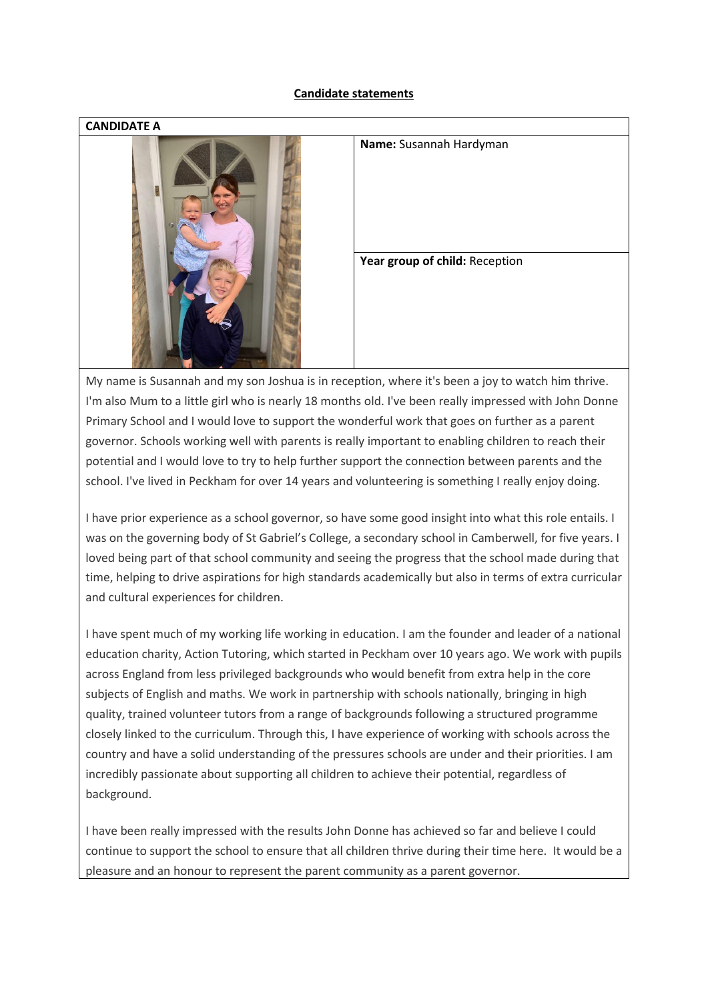## **Candidate statements**



My name is Susannah and my son Joshua is in reception, where it's been a joy to watch him thrive. I'm also Mum to a little girl who is nearly 18 months old. I've been really impressed with John Donne Primary School and I would love to support the wonderful work that goes on further as a parent governor. Schools working well with parents is really important to enabling children to reach their potential and I would love to try to help further support the connection between parents and the school. I've lived in Peckham for over 14 years and volunteering is something I really enjoy doing.

I have prior experience as a school governor, so have some good insight into what this role entails. I was on the governing body of St Gabriel's College, a secondary school in Camberwell, for five years. I loved being part of that school community and seeing the progress that the school made during that time, helping to drive aspirations for high standards academically but also in terms of extra curricular and cultural experiences for children.

I have spent much of my working life working in education. I am the founder and leader of a national education charity, Action Tutoring, which started in Peckham over 10 years ago. We work with pupils across England from less privileged backgrounds who would benefit from extra help in the core subjects of English and maths. We work in partnership with schools nationally, bringing in high quality, trained volunteer tutors from a range of backgrounds following a structured programme closely linked to the curriculum. Through this, I have experience of working with schools across the country and have a solid understanding of the pressures schools are under and their priorities. I am incredibly passionate about supporting all children to achieve their potential, regardless of background.

I have been really impressed with the results John Donne has achieved so far and believe I could continue to support the school to ensure that all children thrive during their time here. It would be a pleasure and an honour to represent the parent community as a parent governor.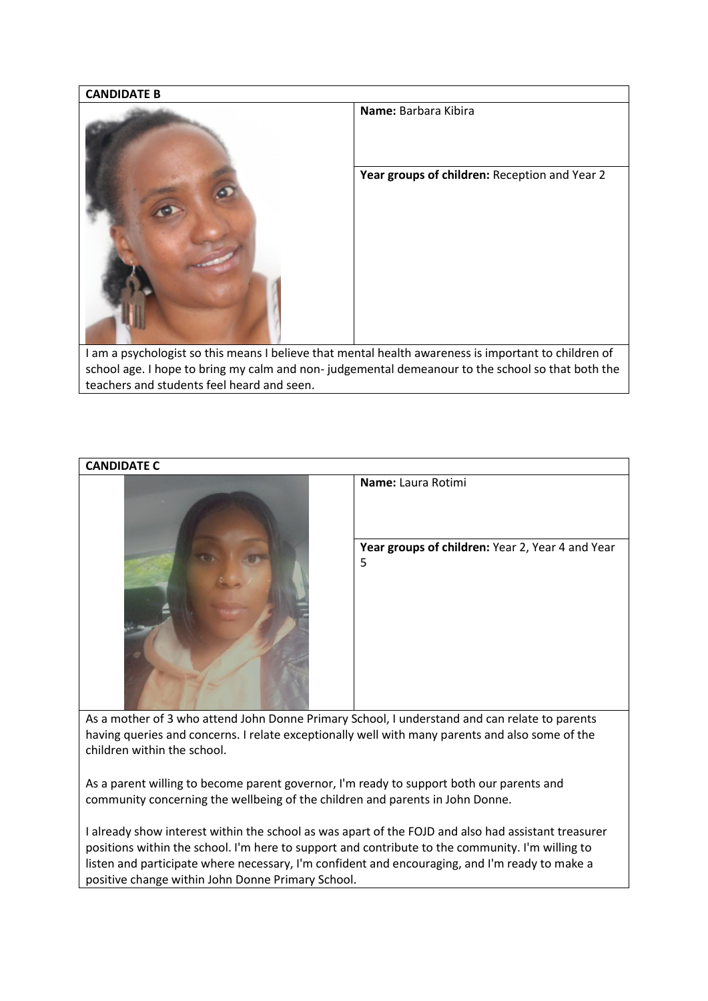

**CANDIDATE C Name:** Laura Rotimi **Year groups of children:** Year 2, Year 4 and Year 5

As a mother of 3 who attend John Donne Primary School, I understand and can relate to parents having queries and concerns. I relate exceptionally well with many parents and also some of the children within the school.

As a parent willing to become parent governor, I'm ready to support both our parents and community concerning the wellbeing of the children and parents in John Donne.

I already show interest within the school as was apart of the FOJD and also had assistant treasurer positions within the school. I'm here to support and contribute to the community. I'm willing to listen and participate where necessary, I'm confident and encouraging, and I'm ready to make a positive change within John Donne Primary School.